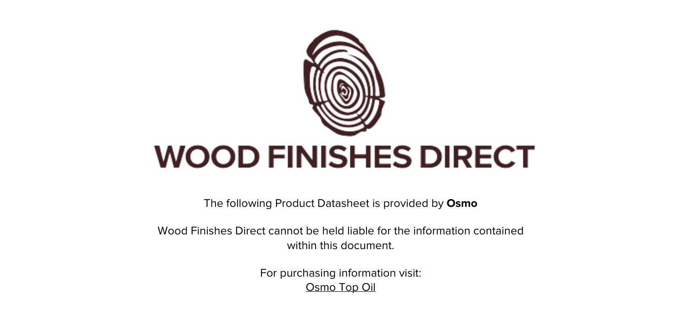

The following Product Datasheet is provided by **Osmo**

Wood Finishes Direct cannot be held liable for the information contained within this document

> For purchasing information visit: [Osmo Top Oil](https://www.wood-finishes-direct.com/product/osmo-top-oil)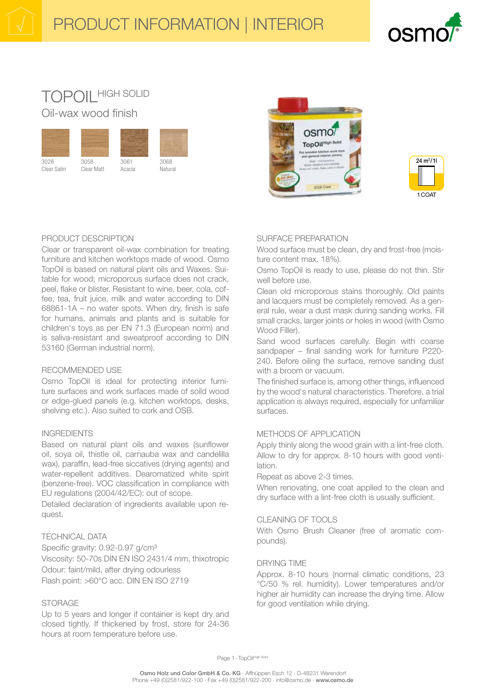# **TOPOIL HIGH SOLID** Oil-wax wood finish







# PRODUCT DESCRIPTION

Clear or transparent oil-wax combination for treating furniture and kitchen worktops made of wood. Osmo TopOil is based on natural plant oils and Waxes. Suitable for wood; microporous surface does not crack, peel, flake or blister. Resistant to wine, beer, cola, coffee, tea, fruit juice, milk and water according to DIN 68861-1A - no water spots. When dry, finish is safe for humans, animals and plants and is suitable for children's toys as per EN 71.3 (European norm) and is saliva-resistant and sweatproof according to DIN 53160 (German industrial norm).

#### **RECOMMENDED USE**

Osmo TopOil is ideal for protecting interior furniture surfaces and work surfaces made of soild wood or edge-glued panels (e.g. kitchen worktops, desks, shelving etc.). Also suited to cork and OSB.

#### **INGREDIENTS**

Based on natural plant oils and waxes (sunflower oil, soya oil, thistle oil, carnauba wax and candelilla wax), paraffin, lead-free siccatives (drying agents) and water-repellent additives. Dearomatized white spirit (benzene-free). VOC classification in compliance with EU regulations (2004/42/EC): out of scope.

Detailed declaration of ingredients available upon request.

# **TECHNICAL DATA**

Specific gravity: 0.92-0.97 g/cm<sup>3</sup> Viscosity: 50-70s DIN EN ISO 2431/4 mm, thixotropic Odour: faint/mild, after drying odourless Flash point: >60°C acc. DIN EN ISO 2719

# **STORAGE**

Up to 5 years and longer if container is kept dry and closed tightly. If thickened by frost, store for 24-36 hours at room temperature before use.

# SURFACE PREPARATION

Wood surface must be clean, dry and frost-free (moisture content max. 18%).

Osmo TopOil is ready to use, please do not thin. Stir well before use.

Clean old microporous stains thoroughly. Old paints and lacquers must be completely removed. As a general rule, wear a dust mask during sanding works. Fill small cracks, larger joints or holes in wood (with Osmo Wood Filler).

Sand wood surfaces carefully. Begin with coarse sandpaper - final sanding work for furniture P220-240. Before oiling the surface, remove sanding dust with a broom or vacuum.

The finished surface is, among other things, influenced by the wood's natural characteristics. Therefore, a trial application is always required, especially for unfamiliar surfaces.

# METHODS OF APPLICATION

Apply thinly along the wood grain with a lint-free cloth. Allow to dry for approx. 8-10 hours with good ventilation.

Repeat as above 2-3 times.

When renovating, one coat applied to the clean and dry surface with a lint-free cloth is usually sufficient.

#### CLEANING OF TOOLS

With Osmo Brush Cleaner (free of aromatic compounds).

#### **DRYING TIME**

Approx. 8-10 hours (normal climatic conditions, 23 °C/50 % rel. humidity). Lower temperatures and/or higher air humidity can increase the drying time. Allow for good ventilation while drying.

Page 1 - TopOilHigh Solid